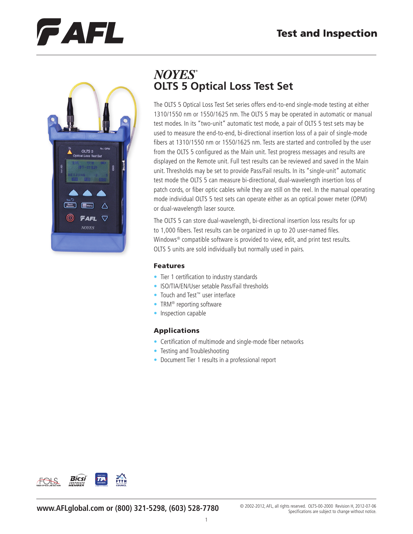# CAFL



## **NOYES OLTS 5 Optical Loss Test Set**

The OLTS 5 Optical Loss Test Set series offers end-to-end single-mode testing at either 1310/1550 nm or 1550/1625 nm. The OLTS 5 may be operated in automatic or manual test modes. In its "two-unit" automatic test mode, a pair of OLTS 5 test sets may be used to measure the end-to-end, bi-directional insertion loss of a pair of single-mode fibers at 1310/1550 nm or 1550/1625 nm. Tests are started and controlled by the user from the OLTS 5 configured as the Main unit. Test progress messages and results are displayed on the Remote unit. Full test results can be reviewed and saved in the Main unit. Thresholds may be set to provide Pass/Fail results. In its "single-unit" automatic test mode the OLTS 5 can measure bi-directional, dual-wavelength insertion loss of patch cords, or fiber optic cables while they are still on the reel. In the manual operating mode individual OLTS 5 test sets can operate either as an optical power meter (OPM) or dual-wavelength laser source.

The OLTS 5 can store dual-wavelength, bi-directional insertion loss results for up to 1,000 fibers. Test results can be organized in up to 20 user-named files. Windows® compatible software is provided to view, edit, and print test results. OLTS 5 units are sold individually but normally used in pairs.

#### Features

- Tier 1 certification to industry standards
- ISO/TIA/EN/User setable Pass/Fail thresholds
- Touch and Test™ user interface
- TRM<sup>®</sup> reporting software
- Inspection capable

#### Applications

- Certification of multimode and single-mode fiber networks
- Testing and Troubleshooting
- Document Tier 1 results in a professional report